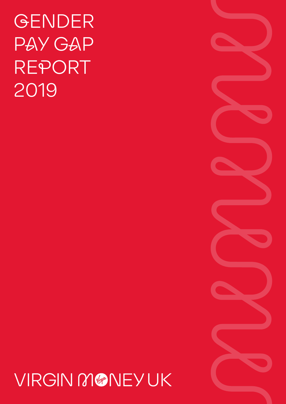# GENDER PAY GAP REPORT 2019

## VIRGIN MONEYUK

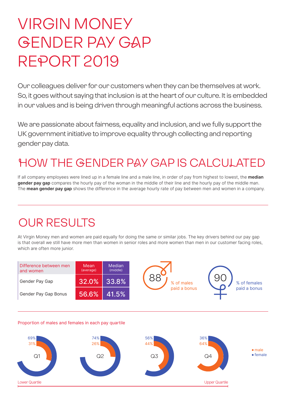## VIRGIN MONEY GENDER PAY GAP REPORT 2019

Our colleagues deliver for our customers when they can be themselves at work. So, it goes without saying that inclusion is at the heart of our culture. It is embedded in our values and is being driven through meaningful actions across the business.

We are passionate about fairness, equality and inclusion, and we fully support the UK government initiative to improve equality through collecting and reporting gender pay data.

## HOW THE GENDER PAY GAP IS CALCULATED

If all company employees were lined up in a female line and a male line, in order of pay from highest to lowest, the **median gender pay gap** compares the hourly pay of the woman in the middle of their line and the hourly pay of the middle man. The **mean gender pay gap** shows the difference in the average hourly rate of pay between men and women in a company.

### OUR RESULTS

At Virgin Money men and women are paid equally for doing the same or similar jobs. The key drivers behind our pay gap is that overall we still have more men than women in senior roles and more women than men in our customer facing roles, which are often more junior.

| Difference between men<br>and women | Mean<br>(average) | Median<br>(middle) |
|-------------------------------------|-------------------|--------------------|
| Gender Pay Gap                      | 32.0%             | 33.8%              |
| Gender Pay Gap Bonus                | 56.6%             | 41.5%              |

#### Proportion of males and females in each pay quartile

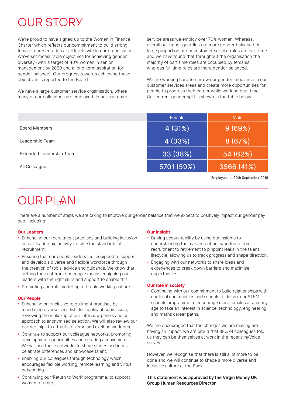## OUR STORY

We're proud to have signed up to the Women in Finance Charter which reflects our commitment to build strong female representation at all levels within our organisation. We've set measurable objectives for achieving gender diversity (with a target of 40% women in senior management by 2020 and a long-term aspiration for gender balance). Our progress towards achieving these objectives is reported to the Board.

We have a large customer service organisation, where many of our colleagues are employed. In our customer service areas we employ over 70% women. Whereas, overall our upper quartiles are more gender balanced. A large proportion of our customer service roles are part time and we have found that throughout the organisation the majority of part time roles are occupied by females, whereas full time roles are more gender balanced.

We are working hard to narrow our gender imbalance in our customer services areas and create more opportunities for people to progress their career while working part-time. Our current gender split is shown in the table below:

|                          | Female     | Male       |
|--------------------------|------------|------------|
| <b>Board Members</b>     | 4(31%)     | 9(69%)     |
| Leadership Team          | 4 (33%)    | 8(67%)     |
| Extended Leadership Team | 33 (38%)   | 54 (62%)   |
| All Colleagues           | 5701 (59%) | 3966 (41%) |
|                          |            |            |

Employees at 30th September 2019

## OUR PLAN

There are a number of steps we are taking to improve our gender balance that we expect to positively impact our gender pay gap, including:

#### **Our Leaders**

- Enhancing our recruitment practises and building inclusion into all leadership activity to raise the standards of recruitment.
- Ensuring that our people leaders feel equipped to support and develop a diverse and flexible workforce through the creation of tools, advice and guidance. We know that getting the best from our people means equipping our leaders with the right skills and support to enable this.
- Promoting and role modelling a flexible working culture.

#### **Our People**

- Enhancing our inclusive recruitment practises by mandating diverse shortlists for applicant submission, reviewing the make-up of our interview panels and our approach to anonymised selection. We will also review our partnerships to attract a diverse and exciting workforce.
- Continue to support our colleague networks, promoting development opportunities and creating a movement. We will use these networks to share stories and ideas. celebrate differences and showcase talent.
- Enabling our colleagues through technology which encourages flexible working, remote learning and virtual networking.
- Continuing our 'Return to Work' programme, to support women returners.

#### **Our Insight**

- Driving accountability by using our insights to understanding the make-up of our workforce from recruitment to retirement to pinpoint leaks in the talent lifecycle, allowing us to track progress and shape direction.
- Engaging with our networks to share ideas and experiences to break down barriers and maximise opportunities.

#### **Our role in society**

• Continuing with our commitment to build relationships with our local communities and schools to deliver our STEM schools programme to encourage more females at an early age to take an interest in science, technology, engineering and maths career paths.

We are encouraged that the changes we are making are having an impact; we are proud that 88% of colleagues told us they can be themselves at work in the recent myVoice survey.

However, we recognise that there is still a lot more to be done and we will continue to shape a more diverse and inclusive culture at the Bank.

**This statement was approved by the Virgin Money UK Group Human Resources Director**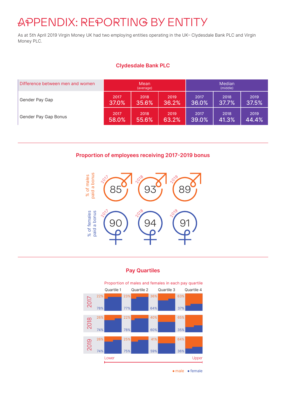### APPENDIX: REPORTING BY ENTITY

As at 5th April 2019 Virgin Money UK had two employing entities operating in the UK– Clydesdale Bank PLC and Virgin Money PLC.

#### **Clydesdale Bank PLC**

| Difference between men and women | Mean<br>(average) |       |       | Median<br>(middle) |       |       |
|----------------------------------|-------------------|-------|-------|--------------------|-------|-------|
| Gender Pay Gap                   | 2017              | 2018  | 2019  | 2017               | 2018  | 2019  |
|                                  | 37.0%             | 35.6% | 36.2% | 36.0%              | 37.7% | 37.5% |
| Gender Pay Gap Bonus             | 2017              | 2018  | 2019  | 2017               | 2018  | 2019  |
|                                  | 58.0%             | 55.6% | 63.2% | 39.0%              | 41.3% | 44.4% |

#### **Proportion of employees receiving 2017-2019 bonus**



#### **Pay Quartiles**



 $\bullet$  male  $\bullet$  female